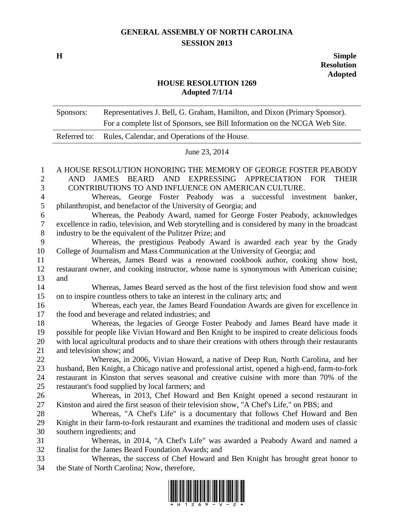## **GENERAL ASSEMBLY OF NORTH CAROLINA SESSION 2013**

**H Simple Resolution Adopted**

## **HOUSE RESOLUTION 1269 Adopted 7/1/14**

|                | Sponsors:                                                                                                                                                         | Representatives J. Bell, G. Graham, Hamilton, and Dixon (Primary Sponsor).                       |  |
|----------------|-------------------------------------------------------------------------------------------------------------------------------------------------------------------|--------------------------------------------------------------------------------------------------|--|
|                |                                                                                                                                                                   | For a complete list of Sponsors, see Bill Information on the NCGA Web Site.                      |  |
|                | Referred to:                                                                                                                                                      | Rules, Calendar, and Operations of the House.                                                    |  |
|                | June 23, 2014                                                                                                                                                     |                                                                                                  |  |
| 1              |                                                                                                                                                                   | A HOUSE RESOLUTION HONORING THE MEMORY OF GEORGE FOSTER PEABODY                                  |  |
| $\overline{2}$ | JAMES BEARD AND EXPRESSING APPRECIATION FOR<br>AND<br><b>THEIR</b>                                                                                                |                                                                                                  |  |
| 3              | CONTRIBUTIONS TO AND INFLUENCE ON AMERICAN CULTURE.                                                                                                               |                                                                                                  |  |
| $\overline{4}$ | Whereas, George Foster Peabody was a successful<br>investment<br>banker,                                                                                          |                                                                                                  |  |
| 5              | philanthropist, and benefactor of the University of Georgia; and                                                                                                  |                                                                                                  |  |
| 6              | Whereas, the Peabody Award, named for George Foster Peabody, acknowledges                                                                                         |                                                                                                  |  |
| 7              |                                                                                                                                                                   | excellence in radio, television, and Web storytelling and is considered by many in the broadcast |  |
| 8              |                                                                                                                                                                   | industry to be the equivalent of the Pulitzer Prize; and                                         |  |
| 9              | Whereas, the prestigious Peabody Award is awarded each year by the Grady                                                                                          |                                                                                                  |  |
| 10             |                                                                                                                                                                   | College of Journalism and Mass Communication at the University of Georgia; and                   |  |
| 11             |                                                                                                                                                                   | Whereas, James Beard was a renowned cookbook author, cooking show host,                          |  |
| 12             |                                                                                                                                                                   | restaurant owner, and cooking instructor, whose name is synonymous with American cuisine;        |  |
| 13             | and                                                                                                                                                               |                                                                                                  |  |
| 14<br>15       | Whereas, James Beard served as the host of the first television food show and went                                                                                |                                                                                                  |  |
| 16             | on to inspire countless others to take an interest in the culinary arts; and<br>Whereas, each year, the James Beard Foundation Awards are given for excellence in |                                                                                                  |  |
| 17             |                                                                                                                                                                   | the food and beverage and related industries; and                                                |  |
| 18             |                                                                                                                                                                   | Whereas, the legacies of George Foster Peabody and James Beard have made it                      |  |
| 19             | possible for people like Vivian Howard and Ben Knight to be inspired to create delicious foods                                                                    |                                                                                                  |  |
| 20             | with local agricultural products and to share their creations with others through their restaurants                                                               |                                                                                                  |  |
| 21             | and television show; and                                                                                                                                          |                                                                                                  |  |
| 22             |                                                                                                                                                                   | Whereas, in 2006, Vivian Howard, a native of Deep Run, North Carolina, and her                   |  |
| 23             |                                                                                                                                                                   | husband, Ben Knight, a Chicago native and professional artist, opened a high-end, farm-to-fork   |  |
| 24             |                                                                                                                                                                   | restaurant in Kinston that serves seasonal and creative cuisine with more than 70% of the        |  |
| 25             |                                                                                                                                                                   | restaurant's food supplied by local farmers; and                                                 |  |
| 26             |                                                                                                                                                                   | Whereas, in 2013, Chef Howard and Ben Knight opened a second restaurant in                       |  |
| 27             |                                                                                                                                                                   | Kinston and aired the first season of their television show, "A Chef's Life," on PBS; and        |  |
| 28             |                                                                                                                                                                   | Whereas, "A Chef's Life" is a documentary that follows Chef Howard and Ben                       |  |
| 29             |                                                                                                                                                                   | Knight in their farm-to-fork restaurant and examines the traditional and modern uses of classic  |  |
| 30             | southern ingredients; and                                                                                                                                         |                                                                                                  |  |
| 31             |                                                                                                                                                                   | Whereas, in 2014, "A Chef's Life" was awarded a Peabody Award and named a                        |  |
| 32             |                                                                                                                                                                   | finalist for the James Beard Foundation Awards; and                                              |  |
| 33             |                                                                                                                                                                   | Whereas, the success of Chef Howard and Ben Knight has brought great honor to                    |  |
| 34             |                                                                                                                                                                   | the State of North Carolina; Now, therefore,                                                     |  |